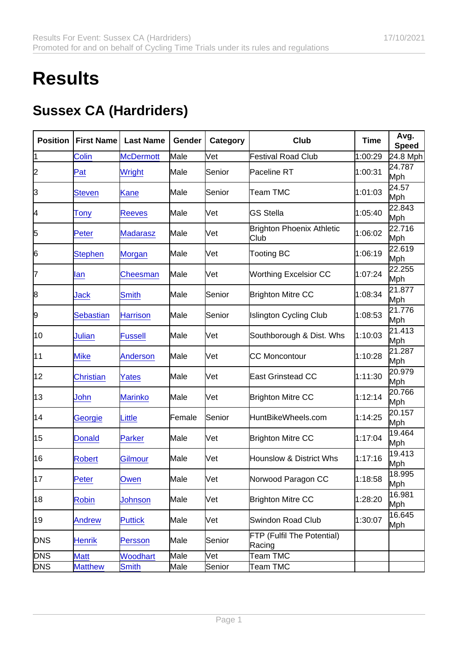## **Results**

## Sussex CA (Hardriders)

| Position   | <b>First Name</b> | Last Name        | Gender | Category | Club                                     | Time    | Avg.<br>Speed        |
|------------|-------------------|------------------|--------|----------|------------------------------------------|---------|----------------------|
| 1          | Colin             | <b>McDermott</b> | Male   | Vet      | <b>Festival Road Club</b>                | 1:00:29 | 24.8 Mph             |
| 2          | Pat               | Wright           | Male   | Senior   | Paceline RT                              | 1:00:31 | 24.787<br>Mph        |
| 3          | <b>Steven</b>     | Kane             | Male   | Senior   | Team TMC                                 | 1:01:03 | 24.57<br>Mph         |
| 4          | <b>Tony</b>       | <b>Reeves</b>    | Male   | lVet     | <b>GS Stella</b>                         | 1:05:40 | 22.843<br>Mph        |
| 5          | Peter             | <b>Madarasz</b>  | Male   | [Vet     | <b>Brighton Phoenix Athletic</b><br>Club | 1:06:02 | 22.716<br>Mph        |
| 6          | <b>Stephen</b>    | Morgan           | Male   | [Vet     | <b>Tooting BC</b>                        | 1:06:19 | 22.619<br>Mph        |
| 17         | lan               | Cheesman         | Male   | [Vet     | <b>Worthing Excelsior CC</b>             | 1:07:24 | 22.255<br>Mph        |
| 8          | Jack              | <b>Smith</b>     | Male   | Senior   | <b>Brighton Mitre CC</b>                 | 1:08:34 | 21.877<br>Mph        |
| 9          | <b>Sebastian</b>  | <b>Harrison</b>  | Male   | Senior   | <b>Islington Cycling Club</b>            | 1:08:53 | 21.776<br>Mph        |
| 10         | <b>Julian</b>     | <b>Fussell</b>   | Male   | [Vet     | Southborough & Dist. Whs                 | 1:10:03 | 21.413<br>Mph        |
| 11         | <b>Mike</b>       | <b>Anderson</b>  | Male   | [Vet     | <b>CC Moncontour</b>                     | 1:10:28 | 21.287<br>Mph        |
| 12         | <b>Christian</b>  | Yates            | Male   | lVet     | <b>East Grinstead CC</b>                 | 1:11:30 | 20.979<br>Mph        |
| 13         | John              | <b>Marinko</b>   | Male   | Vet      | <b>Brighton Mitre CC</b>                 | 1:12:14 | 20.766<br>Mph        |
| 14         | Georgie           | Little           | Female | Senior   | HuntBikeWheels.com                       | 1:14:25 | 20.157<br>Mph        |
| 15         | <b>Donald</b>     | <b>Parker</b>    | Male   | Vet      | <b>Brighton Mitre CC</b>                 | 1:17:04 | 19.464<br>Mph        |
| 16         | <b>Robert</b>     | Gilmour          | Male   | [Vet     | <b>Hounslow &amp; District Whs</b>       | 1:17:16 | 19.413<br>Mph        |
| 17         | Peter             | Owen             | Male   | Vet      | Norwood Paragon CC                       | 1:18:58 | 18.995<br>Mph        |
| 18         | <b>Robin</b>      | Johnson          | Male   | [Vet     | <b>Brighton Mitre CC</b>                 | 1:28:20 | 16.981<br><b>Mph</b> |
| 19         | <b>Andrew</b>     | <b>Puttick</b>   | Male   | Vet      | <b>Swindon Road Club</b>                 | 1:30:07 | 16.645<br><b>Mph</b> |
| <b>DNS</b> | Henrik            | Persson          | Male   | Senior   | FTP (Fulfil The Potential)<br>Racing     |         |                      |
| <b>DNS</b> | <b>Matt</b>       | <b>Woodhart</b>  | Male   | Vet      | <b>Team TMC</b>                          |         |                      |
| <b>DNS</b> | <b>Matthew</b>    | Smith            | Male   | Senior   | <b>Team TMC</b>                          |         |                      |